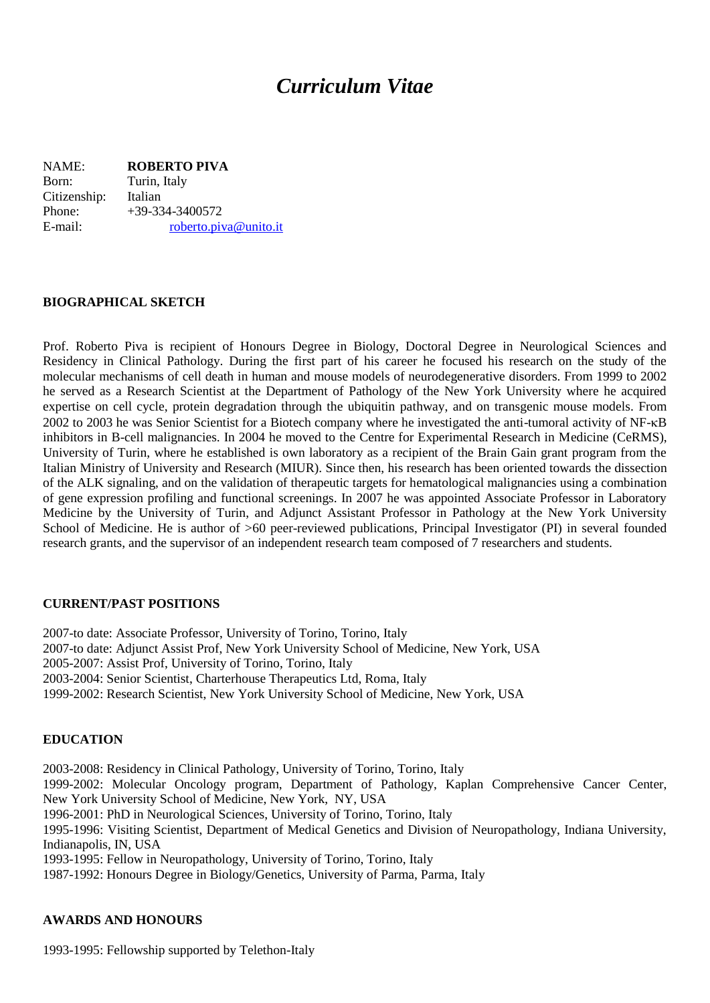# *Curriculum Vitae*

NAME: **ROBERTO PIVA** Born: Turin, Italy Citizenship: Italian Phone: +39-334-3400572 E-mail: [roberto.piva@unito.it](mailto:roberto.piva@unito.it)

### **BIOGRAPHICAL SKETCH**

Prof. Roberto Piva is recipient of Honours Degree in Biology, Doctoral Degree in Neurological Sciences and Residency in Clinical Pathology. During the first part of his career he focused his research on the study of the molecular mechanisms of cell death in human and mouse models of neurodegenerative disorders. From 1999 to 2002 he served as a Research Scientist at the Department of Pathology of the New York University where he acquired expertise on cell cycle, protein degradation through the ubiquitin pathway, and on transgenic mouse models. From 2002 to 2003 he was Senior Scientist for a Biotech company where he investigated the anti-tumoral activity of NF- $\kappa$ B inhibitors in B-cell malignancies. In 2004 he moved to the Centre for Experimental Research in Medicine (CeRMS), University of Turin, where he established is own laboratory as a recipient of the Brain Gain grant program from the Italian Ministry of University and Research (MIUR). Since then, his research has been oriented towards the dissection of the ALK signaling, and on the validation of therapeutic targets for hematological malignancies using a combination of gene expression profiling and functional screenings. In 2007 he was appointed Associate Professor in Laboratory Medicine by the University of Turin, and Adjunct Assistant Professor in Pathology at the New York University School of Medicine. He is author of  $>60$  peer-reviewed publications, Principal Investigator (PI) in several founded research grants, and the supervisor of an independent research team composed of 7 researchers and students.

#### **CURRENT/PAST POSITIONS**

2007-to date: Associate Professor, University of Torino, Torino, Italy 2007-to date: Adjunct Assist Prof, New York University School of Medicine, New York, USA 2005-2007: Assist Prof, University of Torino, Torino, Italy 2003-2004: Senior Scientist, Charterhouse Therapeutics Ltd, Roma, Italy 1999-2002: Research Scientist, New York University School of Medicine, New York, USA

#### **EDUCATION**

2003-2008: Residency in Clinical Pathology, University of Torino, Torino, Italy 1999-2002: Molecular Oncology program, Department of Pathology, Kaplan Comprehensive Cancer Center, New York University School of Medicine, New York, NY, USA 1996-2001: PhD in Neurological Sciences, University of Torino, Torino, Italy 1995-1996: Visiting Scientist, Department of Medical Genetics and Division of Neuropathology, Indiana University, Indianapolis, IN, USA 1993-1995: Fellow in Neuropathology, University of Torino, Torino, Italy 1987-1992: Honours Degree in Biology/Genetics, University of Parma, Parma, Italy

### **AWARDS AND HONOURS**

1993-1995: Fellowship supported by Telethon-Italy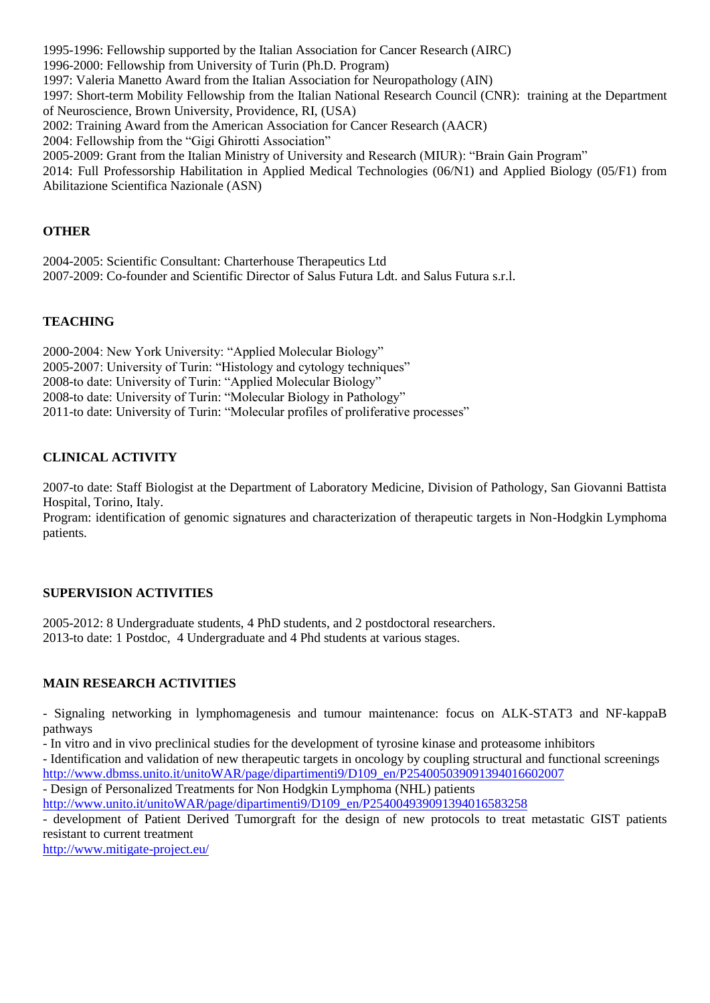1995-1996: Fellowship supported by the Italian Association for Cancer Research (AIRC) 1996-2000: Fellowship from University of Turin (Ph.D. Program) 1997: Valeria Manetto Award from the Italian Association for Neuropathology (AIN) 1997: Short-term Mobility Fellowship from the Italian National Research Council (CNR): training at the Department of Neuroscience, Brown University, Providence, RI, (USA) 2002: Training Award from the American Association for Cancer Research (AACR) 2004: Fellowship from the "Gigi Ghirotti Association" 2005-2009: Grant from the Italian Ministry of University and Research (MIUR): "Brain Gain Program" 2014: Full Professorship Habilitation in Applied Medical Technologies (06/N1) and Applied Biology (05/F1) from Abilitazione Scientifica Nazionale (ASN)

### **OTHER**

2004-2005: Scientific Consultant: Charterhouse Therapeutics Ltd 2007-2009: Co-founder and Scientific Director of Salus Futura Ldt. and Salus Futura s.r.l.

### **TEACHING**

2000-2004: New York University: "Applied Molecular Biology" 2005-2007: University of Turin: "Histology and cytology techniques" 2008-to date: University of Turin: "Applied Molecular Biology" 2008-to date: University of Turin: "Molecular Biology in Pathology" 2011-to date: University of Turin: "Molecular profiles of proliferative processes"

### **CLINICAL ACTIVITY**

2007-to date: Staff Biologist at the Department of Laboratory Medicine, Division of Pathology, San Giovanni Battista Hospital, Torino, Italy.

Program: identification of genomic signatures and characterization of therapeutic targets in Non-Hodgkin Lymphoma patients.

### **SUPERVISION ACTIVITIES**

2005-2012: 8 Undergraduate students, 4 PhD students, and 2 postdoctoral researchers. 2013-to date: 1 Postdoc, 4 Undergraduate and 4 Phd students at various stages.

### **MAIN RESEARCH ACTIVITIES**

- Signaling networking in lymphomagenesis and tumour maintenance: focus on ALK-STAT3 and NF-kappaB pathways

- In vitro and in vivo preclinical studies for the development of tyrosine kinase and proteasome inhibitors - Identification and validation of new therapeutic targets in oncology by coupling structural and functional screenings [http://www.dbmss.unito.it/unitoWAR/page/dipartimenti9/D109\\_en/P254005039091394016602007](http://www.dbmss.unito.it/unitoWAR/page/dipartimenti9/D109_en/P254005039091394016602007)

- Design of Personalized Treatments for Non Hodgkin Lymphoma (NHL) patients

[http://www.unito.it/unitoWAR/page/dipartimenti9/D109\\_en/P254004939091394016583258](http://www.unito.it/unitoWAR/page/dipartimenti9/D109_en/P254004939091394016583258)

- development of Patient Derived Tumorgraft for the design of new protocols to treat metastatic GIST patients resistant to current treatment

<http://www.mitigate-project.eu/>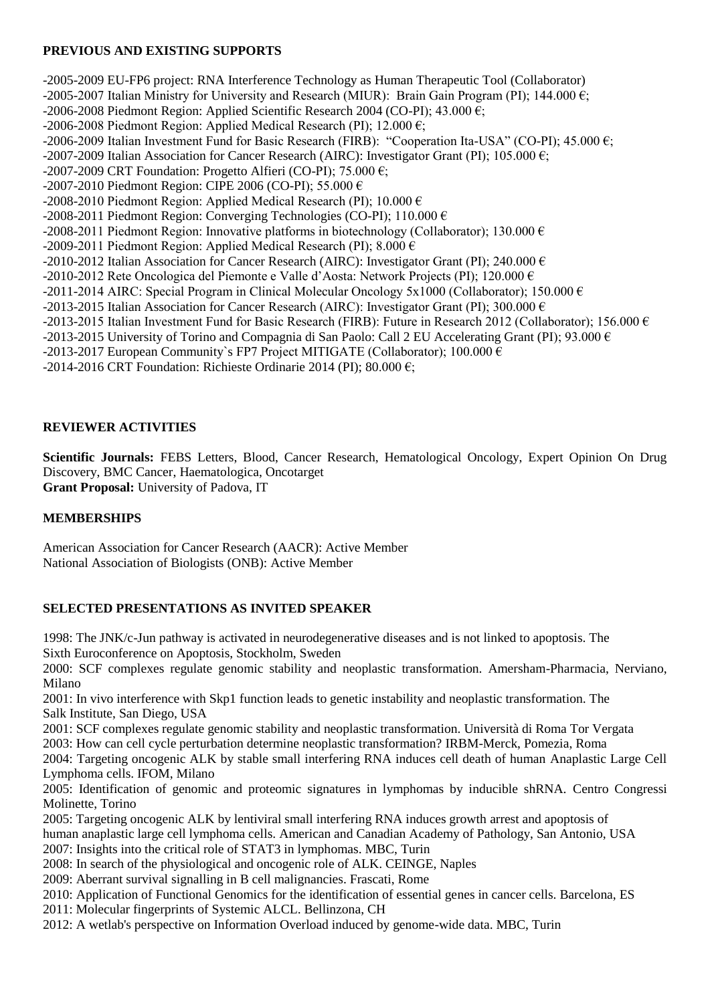### **PREVIOUS AND EXISTING SUPPORTS**

-2005-2009 EU-FP6 project: RNA Interference Technology as Human Therapeutic Tool (Collaborator) -2005-2007 Italian Ministry for University and Research (MIUR): Brain Gain Program (PI); 144.000  $\epsilon$ ; -2006-2008 Piedmont Region: Applied Scientific Research 2004 (CO-PI); 43.000  $\epsilon$ ; -2006-2008 Piedmont Region: Applied Medical Research (PI); 12.000  $\epsilon$ ; -2006-2009 Italian Investment Fund for Basic Research (FIRB): "Cooperation Ita-USA" (CO-PI); 45.000 €; -2007-2009 Italian Association for Cancer Research (AIRC): Investigator Grant (PI); 105.000 €; -2007-2009 CRT Foundation: Progetto Alfieri (CO-PI); 75.000  $\epsilon$ ; -2007-2010 Piedmont Region: CIPE 2006 (CO-PI); 55.000 € -2008-2010 Piedmont Region: Applied Medical Research (PI); 10.000  $\epsilon$ -2008-2011 Piedmont Region: Converging Technologies (CO-PI); 110.000  $\epsilon$ -2008-2011 Piedmont Region: Innovative platforms in biotechnology (Collaborator); 130.000  $\epsilon$ -2009-2011 Piedmont Region: Applied Medical Research (PI);  $8.000 \in$ -2010-2012 Italian Association for Cancer Research (AIRC): Investigator Grant (PI); 240.000  $\epsilon$ -2010-2012 Rete Oncologica del Piemonte e Valle d'Aosta: Network Projects (PI); 120.000  $\epsilon$ -2011-2014 AIRC: Special Program in Clinical Molecular Oncology 5x1000 (Collaborator); 150.000  $\epsilon$ -2013-2015 Italian Association for Cancer Research (AIRC): Investigator Grant (PI); 300.000  $\epsilon$ -2013-2015 Italian Investment Fund for Basic Research (FIRB): Future in Research 2012 (Collaborator); 156.000  $\epsilon$ -2013-2015 University of Torino and Compagnia di San Paolo: Call 2 EU Accelerating Grant (PI); 93.000  $\epsilon$ -2013-2017 European Community`s FP7 Project MITIGATE (Collaborator); 100.000  $\epsilon$ -2014-2016 CRT Foundation: Richieste Ordinarie 2014 (PI); 80.000  $\epsilon$ ;

### **REVIEWER ACTIVITIES**

**Scientific Journals:** FEBS Letters, Blood, Cancer Research, Hematological Oncology, Expert Opinion On Drug Discovery, BMC Cancer, Haematologica, Oncotarget **Grant Proposal:** University of Padova, IT

### **MEMBERSHIPS**

American Association for Cancer Research (AACR): Active Member National Association of Biologists (ONB): Active Member

### **SELECTED PRESENTATIONS AS INVITED SPEAKER**

1998: The JNK/c-Jun pathway is activated in neurodegenerative diseases and is not linked to apoptosis. The Sixth Euroconference on Apoptosis, Stockholm, Sweden

2000: SCF complexes regulate genomic stability and neoplastic transformation. Amersham-Pharmacia, Nerviano, Milano

2001: In vivo interference with Skp1 function leads to genetic instability and neoplastic transformation. The Salk Institute, San Diego, USA

2001: SCF complexes regulate genomic stability and neoplastic transformation. Università di Roma Tor Vergata 2003: How can cell cycle perturbation determine neoplastic transformation? IRBM-Merck, Pomezia, Roma

2004: Targeting oncogenic ALK by stable small interfering RNA induces cell death of human Anaplastic Large Cell Lymphoma cells. IFOM, Milano

2005: Identification of genomic and proteomic signatures in lymphomas by inducible shRNA. Centro Congressi Molinette, Torino

2005: Targeting oncogenic ALK by lentiviral small interfering RNA induces growth arrest and apoptosis of human anaplastic large cell lymphoma cells. American and Canadian Academy of Pathology, San Antonio, USA 2007: Insights into the critical role of STAT3 in lymphomas. MBC, Turin

2008: In search of the physiological and oncogenic role of ALK. CEINGE, Naples

2009: Aberrant survival signalling in B cell malignancies. Frascati, Rome

2010: Application of Functional Genomics for the identification of essential genes in cancer cells. Barcelona, ES

2011: Molecular fingerprints of Systemic ALCL. Bellinzona, CH

2012: A wetlab's perspective on Information Overload induced by genome-wide data. MBC, Turin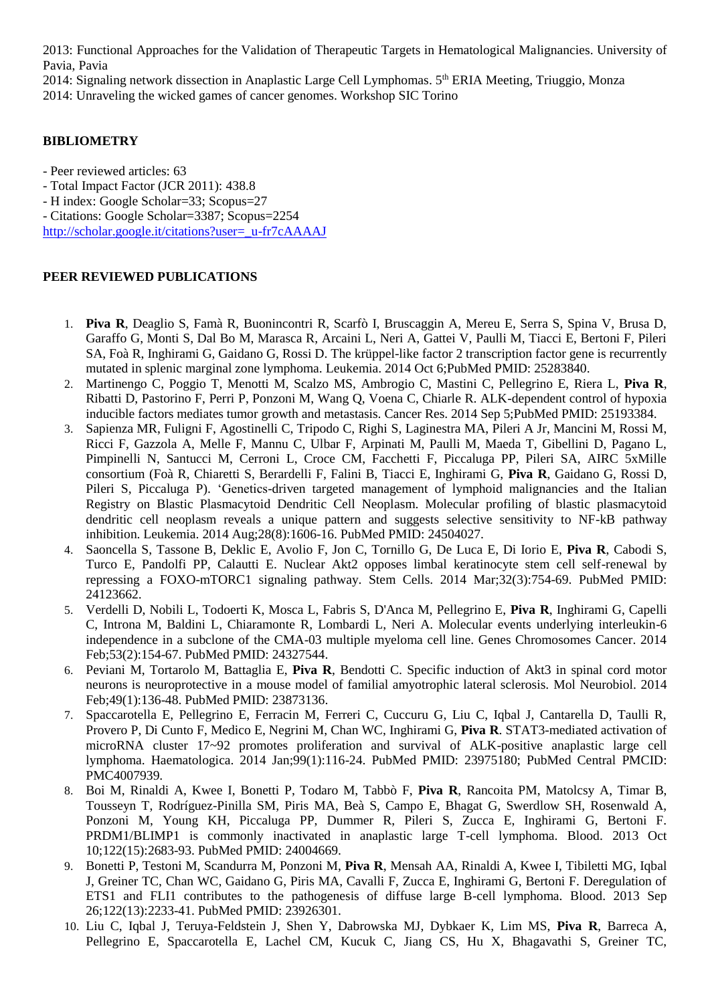2013: Functional Approaches for the Validation of Therapeutic Targets in Hematological Malignancies. University of Pavia, Pavia

2014: Signaling network dissection in Anaplastic Large Cell Lymphomas. 5th ERIA Meeting, Triuggio, Monza 2014: Unraveling the wicked games of cancer genomes. Workshop SIC Torino

### **BIBLIOMETRY**

- Peer reviewed articles: 63

- Total Impact Factor (JCR 2011): 438.8

- H index: Google Scholar=33; Scopus=27

- Citations: Google Scholar=3387; Scopus=2254

[http://scholar.google.it/citations?user=\\_u-fr7cAAAAJ](http://scholar.google.it/citations?user=_u-fr7cAAAAJ)

### **PEER REVIEWED PUBLICATIONS**

- 1. **Piva R**, Deaglio S, Famà R, Buonincontri R, Scarfò I, Bruscaggin A, Mereu E, Serra S, Spina V, Brusa D, Garaffo G, Monti S, Dal Bo M, Marasca R, Arcaini L, Neri A, Gattei V, Paulli M, Tiacci E, Bertoni F, Pileri SA, Foà R, Inghirami G, Gaidano G, Rossi D. The krüppel-like factor 2 transcription factor gene is recurrently mutated in splenic marginal zone lymphoma. Leukemia. 2014 Oct 6;PubMed PMID: 25283840.
- 2. Martinengo C, Poggio T, Menotti M, Scalzo MS, Ambrogio C, Mastini C, Pellegrino E, Riera L, **Piva R**, Ribatti D, Pastorino F, Perri P, Ponzoni M, Wang Q, Voena C, Chiarle R. ALK-dependent control of hypoxia inducible factors mediates tumor growth and metastasis. Cancer Res. 2014 Sep 5;PubMed PMID: 25193384.
- 3. Sapienza MR, Fuligni F, Agostinelli C, Tripodo C, Righi S, Laginestra MA, Pileri A Jr, Mancini M, Rossi M, Ricci F, Gazzola A, Melle F, Mannu C, Ulbar F, Arpinati M, Paulli M, Maeda T, Gibellini D, Pagano L, Pimpinelli N, Santucci M, Cerroni L, Croce CM, Facchetti F, Piccaluga PP, Pileri SA, AIRC 5xMille consortium (Foà R, Chiaretti S, Berardelli F, Falini B, Tiacci E, Inghirami G, **Piva R**, Gaidano G, Rossi D, Pileri S, Piccaluga P). 'Genetics-driven targeted management of lymphoid malignancies and the Italian Registry on Blastic Plasmacytoid Dendritic Cell Neoplasm. Molecular profiling of blastic plasmacytoid dendritic cell neoplasm reveals a unique pattern and suggests selective sensitivity to NF-kB pathway inhibition. Leukemia. 2014 Aug;28(8):1606-16. PubMed PMID: 24504027.
- 4. Saoncella S, Tassone B, Deklic E, Avolio F, Jon C, Tornillo G, De Luca E, Di Iorio E, **Piva R**, Cabodi S, Turco E, Pandolfi PP, Calautti E. Nuclear Akt2 opposes limbal keratinocyte stem cell self-renewal by repressing a FOXO-mTORC1 signaling pathway. Stem Cells. 2014 Mar;32(3):754-69. PubMed PMID: 24123662.
- 5. Verdelli D, Nobili L, Todoerti K, Mosca L, Fabris S, D'Anca M, Pellegrino E, **Piva R**, Inghirami G, Capelli C, Introna M, Baldini L, Chiaramonte R, Lombardi L, Neri A. Molecular events underlying interleukin-6 independence in a subclone of the CMA-03 multiple myeloma cell line. Genes Chromosomes Cancer. 2014 Feb;53(2):154-67. PubMed PMID: 24327544.
- 6. Peviani M, Tortarolo M, Battaglia E, **Piva R**, Bendotti C. Specific induction of Akt3 in spinal cord motor neurons is neuroprotective in a mouse model of familial amyotrophic lateral sclerosis. Mol Neurobiol. 2014 Feb;49(1):136-48. PubMed PMID: 23873136.
- 7. Spaccarotella E, Pellegrino E, Ferracin M, Ferreri C, Cuccuru G, Liu C, Iqbal J, Cantarella D, Taulli R, Provero P, Di Cunto F, Medico E, Negrini M, Chan WC, Inghirami G, **Piva R**. STAT3-mediated activation of microRNA cluster 17~92 promotes proliferation and survival of ALK-positive anaplastic large cell lymphoma. Haematologica. 2014 Jan;99(1):116-24. PubMed PMID: 23975180; PubMed Central PMCID: PMC4007939.
- 8. Boi M, Rinaldi A, Kwee I, Bonetti P, Todaro M, Tabbò F, **Piva R**, Rancoita PM, Matolcsy A, Timar B, Tousseyn T, Rodríguez-Pinilla SM, Piris MA, Beà S, Campo E, Bhagat G, Swerdlow SH, Rosenwald A, Ponzoni M, Young KH, Piccaluga PP, Dummer R, Pileri S, Zucca E, Inghirami G, Bertoni F. PRDM1/BLIMP1 is commonly inactivated in anaplastic large T-cell lymphoma. Blood. 2013 Oct 10;122(15):2683-93. PubMed PMID: 24004669.
- 9. Bonetti P, Testoni M, Scandurra M, Ponzoni M, **Piva R**, Mensah AA, Rinaldi A, Kwee I, Tibiletti MG, Iqbal J, Greiner TC, Chan WC, Gaidano G, Piris MA, Cavalli F, Zucca E, Inghirami G, Bertoni F. Deregulation of ETS1 and FLI1 contributes to the pathogenesis of diffuse large B-cell lymphoma. Blood. 2013 Sep 26;122(13):2233-41. PubMed PMID: 23926301.
- 10. Liu C, Iqbal J, Teruya-Feldstein J, Shen Y, Dabrowska MJ, Dybkaer K, Lim MS, **Piva R**, Barreca A, Pellegrino E, Spaccarotella E, Lachel CM, Kucuk C, Jiang CS, Hu X, Bhagavathi S, Greiner TC,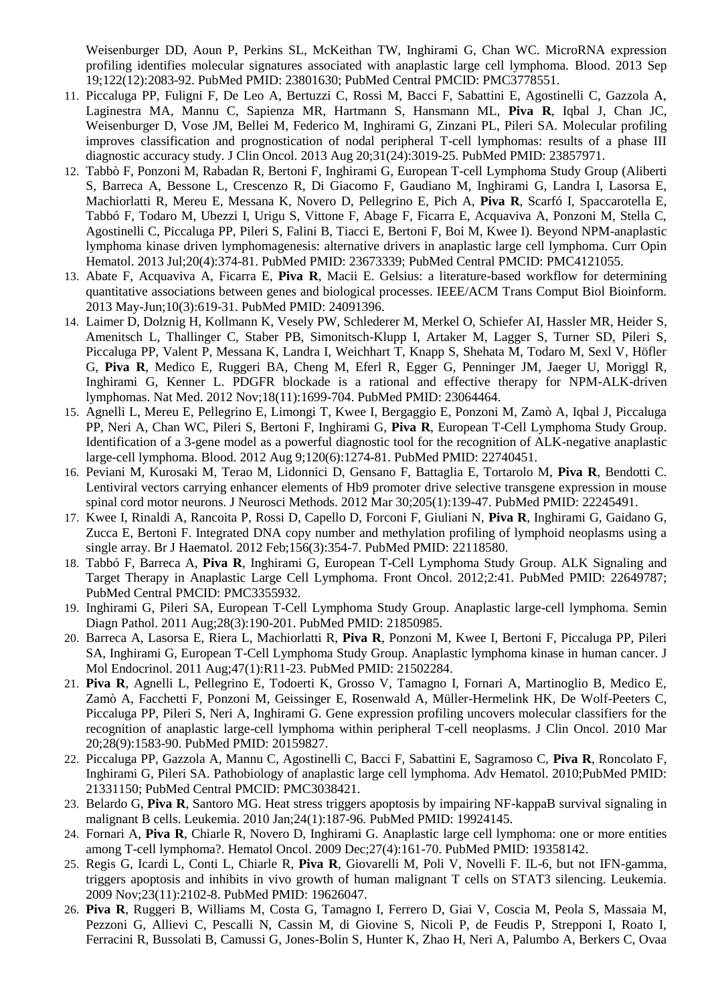Weisenburger DD, Aoun P, Perkins SL, McKeithan TW, Inghirami G, Chan WC. MicroRNA expression profiling identifies molecular signatures associated with anaplastic large cell lymphoma. Blood. 2013 Sep 19;122(12):2083-92. PubMed PMID: 23801630; PubMed Central PMCID: PMC3778551.

- 11. Piccaluga PP, Fuligni F, De Leo A, Bertuzzi C, Rossi M, Bacci F, Sabattini E, Agostinelli C, Gazzola A, Laginestra MA, Mannu C, Sapienza MR, Hartmann S, Hansmann ML, **Piva R**, Iqbal J, Chan JC, Weisenburger D, Vose JM, Bellei M, Federico M, Inghirami G, Zinzani PL, Pileri SA. Molecular profiling improves classification and prognostication of nodal peripheral T-cell lymphomas: results of a phase III diagnostic accuracy study. J Clin Oncol. 2013 Aug 20;31(24):3019-25. PubMed PMID: 23857971.
- 12. Tabbò F, Ponzoni M, Rabadan R, Bertoni F, Inghirami G, European T-cell Lymphoma Study Group (Aliberti S, Barreca A, Bessone L, Crescenzo R, Di Giacomo F, Gaudiano M, Inghirami G, Landra I, Lasorsa E, Machiorlatti R, Mereu E, Messana K, Novero D, Pellegrino E, Pich A, **Piva R**, Scarfó I, Spaccarotella E, Tabbó F, Todaro M, Ubezzi I, Urigu S, Vittone F, Abage F, Ficarra E, Acquaviva A, Ponzoni M, Stella C, Agostinelli C, Piccaluga PP, Pileri S, Falini B, Tiacci E, Bertoni F, Boi M, Kwee I). Beyond NPM-anaplastic lymphoma kinase driven lymphomagenesis: alternative drivers in anaplastic large cell lymphoma. Curr Opin Hematol. 2013 Jul;20(4):374-81. PubMed PMID: 23673339; PubMed Central PMCID: PMC4121055.
- 13. Abate F, Acquaviva A, Ficarra E, **Piva R**, Macii E. Gelsius: a literature-based workflow for determining quantitative associations between genes and biological processes. IEEE/ACM Trans Comput Biol Bioinform. 2013 May-Jun;10(3):619-31. PubMed PMID: 24091396.
- 14. Laimer D, Dolznig H, Kollmann K, Vesely PW, Schlederer M, Merkel O, Schiefer AI, Hassler MR, Heider S, Amenitsch L, Thallinger C, Staber PB, Simonitsch-Klupp I, Artaker M, Lagger S, Turner SD, Pileri S, Piccaluga PP, Valent P, Messana K, Landra I, Weichhart T, Knapp S, Shehata M, Todaro M, Sexl V, Höfler G, **Piva R**, Medico E, Ruggeri BA, Cheng M, Eferl R, Egger G, Penninger JM, Jaeger U, Moriggl R, Inghirami G, Kenner L. PDGFR blockade is a rational and effective therapy for NPM-ALK-driven lymphomas. Nat Med. 2012 Nov;18(11):1699-704. PubMed PMID: 23064464.
- 15. Agnelli L, Mereu E, Pellegrino E, Limongi T, Kwee I, Bergaggio E, Ponzoni M, Zamò A, Iqbal J, Piccaluga PP, Neri A, Chan WC, Pileri S, Bertoni F, Inghirami G, **Piva R**, European T-Cell Lymphoma Study Group. Identification of a 3-gene model as a powerful diagnostic tool for the recognition of ALK-negative anaplastic large-cell lymphoma. Blood. 2012 Aug 9;120(6):1274-81. PubMed PMID: 22740451.
- 16. Peviani M, Kurosaki M, Terao M, Lidonnici D, Gensano F, Battaglia E, Tortarolo M, **Piva R**, Bendotti C. Lentiviral vectors carrying enhancer elements of Hb9 promoter drive selective transgene expression in mouse spinal cord motor neurons. J Neurosci Methods. 2012 Mar 30;205(1):139-47. PubMed PMID: 22245491.
- 17. Kwee I, Rinaldi A, Rancoita P, Rossi D, Capello D, Forconi F, Giuliani N, **Piva R**, Inghirami G, Gaidano G, Zucca E, Bertoni F. Integrated DNA copy number and methylation profiling of lymphoid neoplasms using a single array. Br J Haematol. 2012 Feb;156(3):354-7. PubMed PMID: 22118580.
- 18. Tabbó F, Barreca A, **Piva R**, Inghirami G, European T-Cell Lymphoma Study Group. ALK Signaling and Target Therapy in Anaplastic Large Cell Lymphoma. Front Oncol. 2012;2:41. PubMed PMID: 22649787; PubMed Central PMCID: PMC3355932.
- 19. Inghirami G, Pileri SA, European T-Cell Lymphoma Study Group. Anaplastic large-cell lymphoma. Semin Diagn Pathol. 2011 Aug;28(3):190-201. PubMed PMID: 21850985.
- 20. Barreca A, Lasorsa E, Riera L, Machiorlatti R, **Piva R**, Ponzoni M, Kwee I, Bertoni F, Piccaluga PP, Pileri SA, Inghirami G, European T-Cell Lymphoma Study Group. Anaplastic lymphoma kinase in human cancer. J Mol Endocrinol. 2011 Aug;47(1):R11-23. PubMed PMID: 21502284.
- 21. **Piva R**, Agnelli L, Pellegrino E, Todoerti K, Grosso V, Tamagno I, Fornari A, Martinoglio B, Medico E, Zamò A, Facchetti F, Ponzoni M, Geissinger E, Rosenwald A, Müller-Hermelink HK, De Wolf-Peeters C, Piccaluga PP, Pileri S, Neri A, Inghirami G. Gene expression profiling uncovers molecular classifiers for the recognition of anaplastic large-cell lymphoma within peripheral T-cell neoplasms. J Clin Oncol. 2010 Mar 20;28(9):1583-90. PubMed PMID: 20159827.
- 22. Piccaluga PP, Gazzola A, Mannu C, Agostinelli C, Bacci F, Sabattini E, Sagramoso C, **Piva R**, Roncolato F, Inghirami G, Pileri SA. Pathobiology of anaplastic large cell lymphoma. Adv Hematol. 2010;PubMed PMID: 21331150; PubMed Central PMCID: PMC3038421.
- 23. Belardo G, **Piva R**, Santoro MG. Heat stress triggers apoptosis by impairing NF-kappaB survival signaling in malignant B cells. Leukemia. 2010 Jan;24(1):187-96. PubMed PMID: 19924145.
- 24. Fornari A, **Piva R**, Chiarle R, Novero D, Inghirami G. Anaplastic large cell lymphoma: one or more entities among T-cell lymphoma?. Hematol Oncol. 2009 Dec;27(4):161-70. PubMed PMID: 19358142.
- 25. Regis G, Icardi L, Conti L, Chiarle R, **Piva R**, Giovarelli M, Poli V, Novelli F. IL-6, but not IFN-gamma, triggers apoptosis and inhibits in vivo growth of human malignant T cells on STAT3 silencing. Leukemia. 2009 Nov;23(11):2102-8. PubMed PMID: 19626047.
- 26. **Piva R**, Ruggeri B, Williams M, Costa G, Tamagno I, Ferrero D, Giai V, Coscia M, Peola S, Massaia M, Pezzoni G, Allievi C, Pescalli N, Cassin M, di Giovine S, Nicoli P, de Feudis P, Strepponi I, Roato I, Ferracini R, Bussolati B, Camussi G, Jones-Bolin S, Hunter K, Zhao H, Neri A, Palumbo A, Berkers C, Ovaa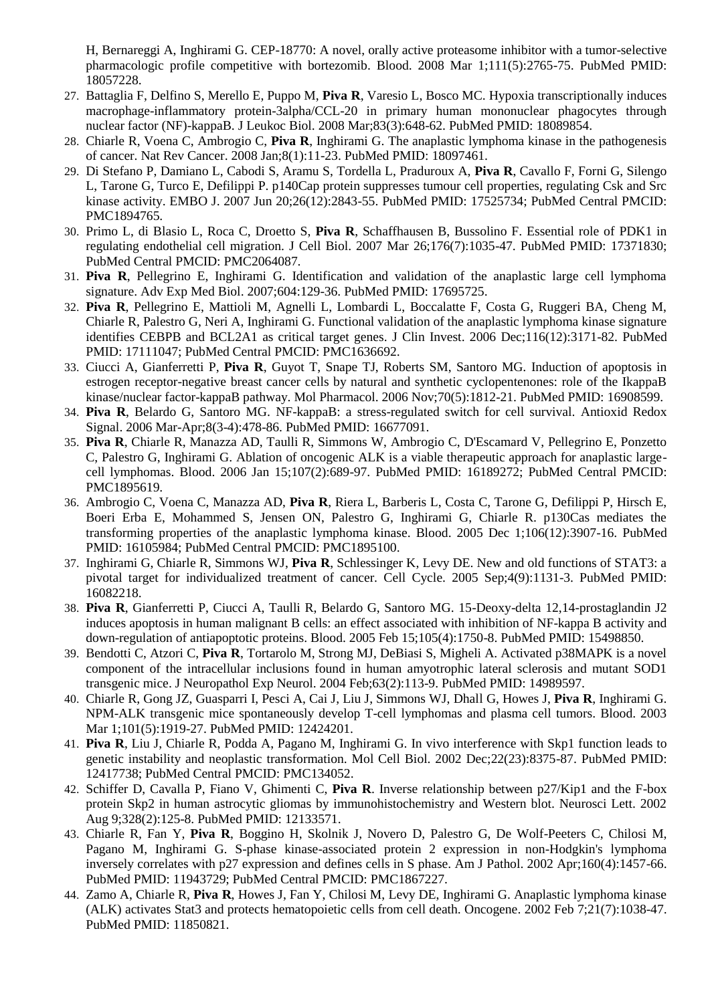H, Bernareggi A, Inghirami G. CEP-18770: A novel, orally active proteasome inhibitor with a tumor-selective pharmacologic profile competitive with bortezomib. Blood. 2008 Mar 1;111(5):2765-75. PubMed PMID: 18057228.

- 27. Battaglia F, Delfino S, Merello E, Puppo M, **Piva R**, Varesio L, Bosco MC. Hypoxia transcriptionally induces macrophage-inflammatory protein-3alpha/CCL-20 in primary human mononuclear phagocytes through nuclear factor (NF)-kappaB. J Leukoc Biol. 2008 Mar;83(3):648-62. PubMed PMID: 18089854.
- 28. Chiarle R, Voena C, Ambrogio C, **Piva R**, Inghirami G. The anaplastic lymphoma kinase in the pathogenesis of cancer. Nat Rev Cancer. 2008 Jan;8(1):11-23. PubMed PMID: 18097461.
- 29. Di Stefano P, Damiano L, Cabodi S, Aramu S, Tordella L, Praduroux A, **Piva R**, Cavallo F, Forni G, Silengo L, Tarone G, Turco E, Defilippi P. p140Cap protein suppresses tumour cell properties, regulating Csk and Src kinase activity. EMBO J. 2007 Jun 20;26(12):2843-55. PubMed PMID: 17525734; PubMed Central PMCID: PMC1894765.
- 30. Primo L, di Blasio L, Roca C, Droetto S, **Piva R**, Schaffhausen B, Bussolino F. Essential role of PDK1 in regulating endothelial cell migration. J Cell Biol. 2007 Mar 26;176(7):1035-47. PubMed PMID: 17371830; PubMed Central PMCID: PMC2064087.
- 31. **Piva R**, Pellegrino E, Inghirami G. Identification and validation of the anaplastic large cell lymphoma signature. Adv Exp Med Biol. 2007;604:129-36. PubMed PMID: 17695725.
- 32. **Piva R**, Pellegrino E, Mattioli M, Agnelli L, Lombardi L, Boccalatte F, Costa G, Ruggeri BA, Cheng M, Chiarle R, Palestro G, Neri A, Inghirami G. Functional validation of the anaplastic lymphoma kinase signature identifies CEBPB and BCL2A1 as critical target genes. J Clin Invest. 2006 Dec;116(12):3171-82. PubMed PMID: 17111047; PubMed Central PMCID: PMC1636692.
- 33. Ciucci A, Gianferretti P, **Piva R**, Guyot T, Snape TJ, Roberts SM, Santoro MG. Induction of apoptosis in estrogen receptor-negative breast cancer cells by natural and synthetic cyclopentenones: role of the IkappaB kinase/nuclear factor-kappaB pathway. Mol Pharmacol. 2006 Nov;70(5):1812-21. PubMed PMID: 16908599.
- 34. **Piva R**, Belardo G, Santoro MG. NF-kappaB: a stress-regulated switch for cell survival. Antioxid Redox Signal. 2006 Mar-Apr;8(3-4):478-86. PubMed PMID: 16677091.
- 35. **Piva R**, Chiarle R, Manazza AD, Taulli R, Simmons W, Ambrogio C, D'Escamard V, Pellegrino E, Ponzetto C, Palestro G, Inghirami G. Ablation of oncogenic ALK is a viable therapeutic approach for anaplastic largecell lymphomas. Blood. 2006 Jan 15;107(2):689-97. PubMed PMID: 16189272; PubMed Central PMCID: PMC1895619.
- 36. Ambrogio C, Voena C, Manazza AD, **Piva R**, Riera L, Barberis L, Costa C, Tarone G, Defilippi P, Hirsch E, Boeri Erba E, Mohammed S, Jensen ON, Palestro G, Inghirami G, Chiarle R. p130Cas mediates the transforming properties of the anaplastic lymphoma kinase. Blood. 2005 Dec 1;106(12):3907-16. PubMed PMID: 16105984; PubMed Central PMCID: PMC1895100.
- 37. Inghirami G, Chiarle R, Simmons WJ, **Piva R**, Schlessinger K, Levy DE. New and old functions of STAT3: a pivotal target for individualized treatment of cancer. Cell Cycle. 2005 Sep;4(9):1131-3. PubMed PMID: 16082218.
- 38. **Piva R**, Gianferretti P, Ciucci A, Taulli R, Belardo G, Santoro MG. 15-Deoxy-delta 12,14-prostaglandin J2 induces apoptosis in human malignant B cells: an effect associated with inhibition of NF-kappa B activity and down-regulation of antiapoptotic proteins. Blood. 2005 Feb 15;105(4):1750-8. PubMed PMID: 15498850.
- 39. Bendotti C, Atzori C, **Piva R**, Tortarolo M, Strong MJ, DeBiasi S, Migheli A. Activated p38MAPK is a novel component of the intracellular inclusions found in human amyotrophic lateral sclerosis and mutant SOD1 transgenic mice. J Neuropathol Exp Neurol. 2004 Feb;63(2):113-9. PubMed PMID: 14989597.
- 40. Chiarle R, Gong JZ, Guasparri I, Pesci A, Cai J, Liu J, Simmons WJ, Dhall G, Howes J, **Piva R**, Inghirami G. NPM-ALK transgenic mice spontaneously develop T-cell lymphomas and plasma cell tumors. Blood. 2003 Mar 1;101(5):1919-27. PubMed PMID: 12424201.
- 41. **Piva R**, Liu J, Chiarle R, Podda A, Pagano M, Inghirami G. In vivo interference with Skp1 function leads to genetic instability and neoplastic transformation. Mol Cell Biol. 2002 Dec;22(23):8375-87. PubMed PMID: 12417738; PubMed Central PMCID: PMC134052.
- 42. Schiffer D, Cavalla P, Fiano V, Ghimenti C, **Piva R**. Inverse relationship between p27/Kip1 and the F-box protein Skp2 in human astrocytic gliomas by immunohistochemistry and Western blot. Neurosci Lett. 2002 Aug 9;328(2):125-8. PubMed PMID: 12133571.
- 43. Chiarle R, Fan Y, **Piva R**, Boggino H, Skolnik J, Novero D, Palestro G, De Wolf-Peeters C, Chilosi M, Pagano M, Inghirami G. S-phase kinase-associated protein 2 expression in non-Hodgkin's lymphoma inversely correlates with p27 expression and defines cells in S phase. Am J Pathol. 2002 Apr;160(4):1457-66. PubMed PMID: 11943729; PubMed Central PMCID: PMC1867227.
- 44. Zamo A, Chiarle R, **Piva R**, Howes J, Fan Y, Chilosi M, Levy DE, Inghirami G. Anaplastic lymphoma kinase (ALK) activates Stat3 and protects hematopoietic cells from cell death. Oncogene. 2002 Feb 7;21(7):1038-47. PubMed PMID: 11850821.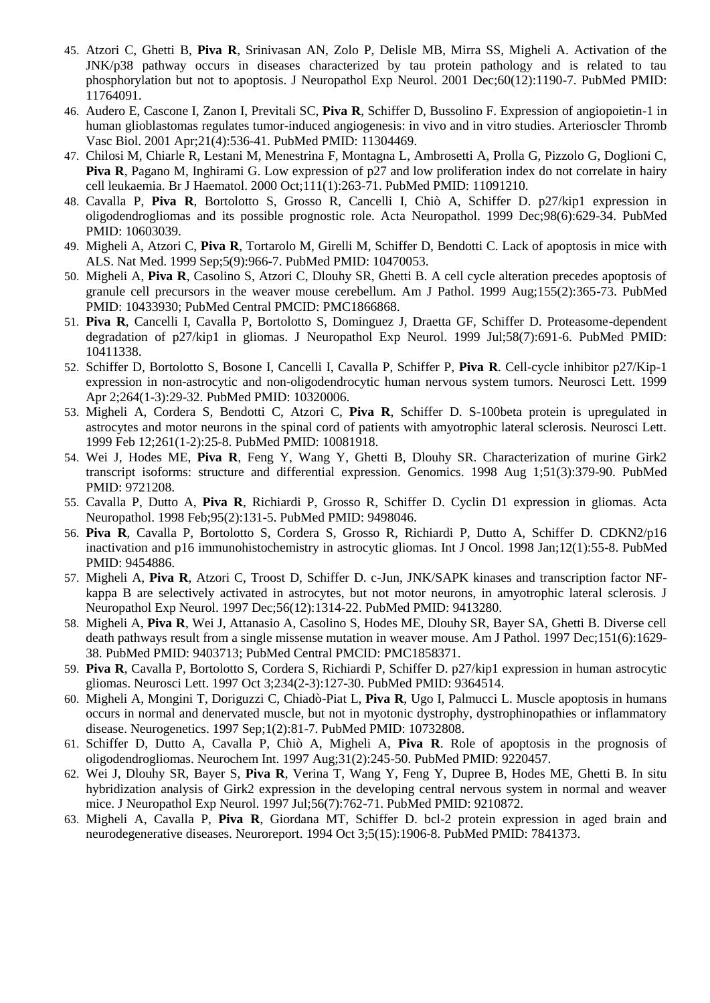- 45. Atzori C, Ghetti B, **Piva R**, Srinivasan AN, Zolo P, Delisle MB, Mirra SS, Migheli A. Activation of the JNK/p38 pathway occurs in diseases characterized by tau protein pathology and is related to tau phosphorylation but not to apoptosis. J Neuropathol Exp Neurol. 2001 Dec;60(12):1190-7. PubMed PMID: 11764091.
- 46. Audero E, Cascone I, Zanon I, Previtali SC, **Piva R**, Schiffer D, Bussolino F. Expression of angiopoietin-1 in human glioblastomas regulates tumor-induced angiogenesis: in vivo and in vitro studies. Arterioscler Thromb Vasc Biol. 2001 Apr;21(4):536-41. PubMed PMID: 11304469.
- 47. Chilosi M, Chiarle R, Lestani M, Menestrina F, Montagna L, Ambrosetti A, Prolla G, Pizzolo G, Doglioni C, **Piva R**, Pagano M, Inghirami G. Low expression of p27 and low proliferation index do not correlate in hairy cell leukaemia. Br J Haematol. 2000 Oct;111(1):263-71. PubMed PMID: 11091210.
- 48. Cavalla P, **Piva R**, Bortolotto S, Grosso R, Cancelli I, Chiò A, Schiffer D. p27/kip1 expression in oligodendrogliomas and its possible prognostic role. Acta Neuropathol. 1999 Dec;98(6):629-34. PubMed PMID: 10603039.
- 49. Migheli A, Atzori C, **Piva R**, Tortarolo M, Girelli M, Schiffer D, Bendotti C. Lack of apoptosis in mice with ALS. Nat Med. 1999 Sep;5(9):966-7. PubMed PMID: 10470053.
- 50. Migheli A, **Piva R**, Casolino S, Atzori C, Dlouhy SR, Ghetti B. A cell cycle alteration precedes apoptosis of granule cell precursors in the weaver mouse cerebellum. Am J Pathol. 1999 Aug;155(2):365-73. PubMed PMID: 10433930; PubMed Central PMCID: PMC1866868.
- 51. **Piva R**, Cancelli I, Cavalla P, Bortolotto S, Dominguez J, Draetta GF, Schiffer D. Proteasome-dependent degradation of p27/kip1 in gliomas. J Neuropathol Exp Neurol. 1999 Jul;58(7):691-6. PubMed PMID: 10411338.
- 52. Schiffer D, Bortolotto S, Bosone I, Cancelli I, Cavalla P, Schiffer P, **Piva R**. Cell-cycle inhibitor p27/Kip-1 expression in non-astrocytic and non-oligodendrocytic human nervous system tumors. Neurosci Lett. 1999 Apr 2;264(1-3):29-32. PubMed PMID: 10320006.
- 53. Migheli A, Cordera S, Bendotti C, Atzori C, **Piva R**, Schiffer D. S-100beta protein is upregulated in astrocytes and motor neurons in the spinal cord of patients with amyotrophic lateral sclerosis. Neurosci Lett. 1999 Feb 12;261(1-2):25-8. PubMed PMID: 10081918.
- 54. Wei J, Hodes ME, **Piva R**, Feng Y, Wang Y, Ghetti B, Dlouhy SR. Characterization of murine Girk2 transcript isoforms: structure and differential expression. Genomics. 1998 Aug 1;51(3):379-90. PubMed PMID: 9721208.
- 55. Cavalla P, Dutto A, **Piva R**, Richiardi P, Grosso R, Schiffer D. Cyclin D1 expression in gliomas. Acta Neuropathol. 1998 Feb;95(2):131-5. PubMed PMID: 9498046.
- 56. **Piva R**, Cavalla P, Bortolotto S, Cordera S, Grosso R, Richiardi P, Dutto A, Schiffer D. CDKN2/p16 inactivation and p16 immunohistochemistry in astrocytic gliomas. Int J Oncol. 1998 Jan;12(1):55-8. PubMed PMID: 9454886.
- 57. Migheli A, **Piva R**, Atzori C, Troost D, Schiffer D. c-Jun, JNK/SAPK kinases and transcription factor NFkappa B are selectively activated in astrocytes, but not motor neurons, in amyotrophic lateral sclerosis. J Neuropathol Exp Neurol. 1997 Dec;56(12):1314-22. PubMed PMID: 9413280.
- 58. Migheli A, **Piva R**, Wei J, Attanasio A, Casolino S, Hodes ME, Dlouhy SR, Bayer SA, Ghetti B. Diverse cell death pathways result from a single missense mutation in weaver mouse. Am J Pathol. 1997 Dec;151(6):1629- 38. PubMed PMID: 9403713; PubMed Central PMCID: PMC1858371.
- 59. **Piva R**, Cavalla P, Bortolotto S, Cordera S, Richiardi P, Schiffer D. p27/kip1 expression in human astrocytic gliomas. Neurosci Lett. 1997 Oct 3;234(2-3):127-30. PubMed PMID: 9364514.
- 60. Migheli A, Mongini T, Doriguzzi C, Chiadò-Piat L, **Piva R**, Ugo I, Palmucci L. Muscle apoptosis in humans occurs in normal and denervated muscle, but not in myotonic dystrophy, dystrophinopathies or inflammatory disease. Neurogenetics. 1997 Sep;1(2):81-7. PubMed PMID: 10732808.
- 61. Schiffer D, Dutto A, Cavalla P, Chiò A, Migheli A, **Piva R**. Role of apoptosis in the prognosis of oligodendrogliomas. Neurochem Int. 1997 Aug;31(2):245-50. PubMed PMID: 9220457.
- 62. Wei J, Dlouhy SR, Bayer S, **Piva R**, Verina T, Wang Y, Feng Y, Dupree B, Hodes ME, Ghetti B. In situ hybridization analysis of Girk2 expression in the developing central nervous system in normal and weaver mice. J Neuropathol Exp Neurol. 1997 Jul;56(7):762-71. PubMed PMID: 9210872.
- 63. Migheli A, Cavalla P, **Piva R**, Giordana MT, Schiffer D. bcl-2 protein expression in aged brain and neurodegenerative diseases. Neuroreport. 1994 Oct 3;5(15):1906-8. PubMed PMID: 7841373.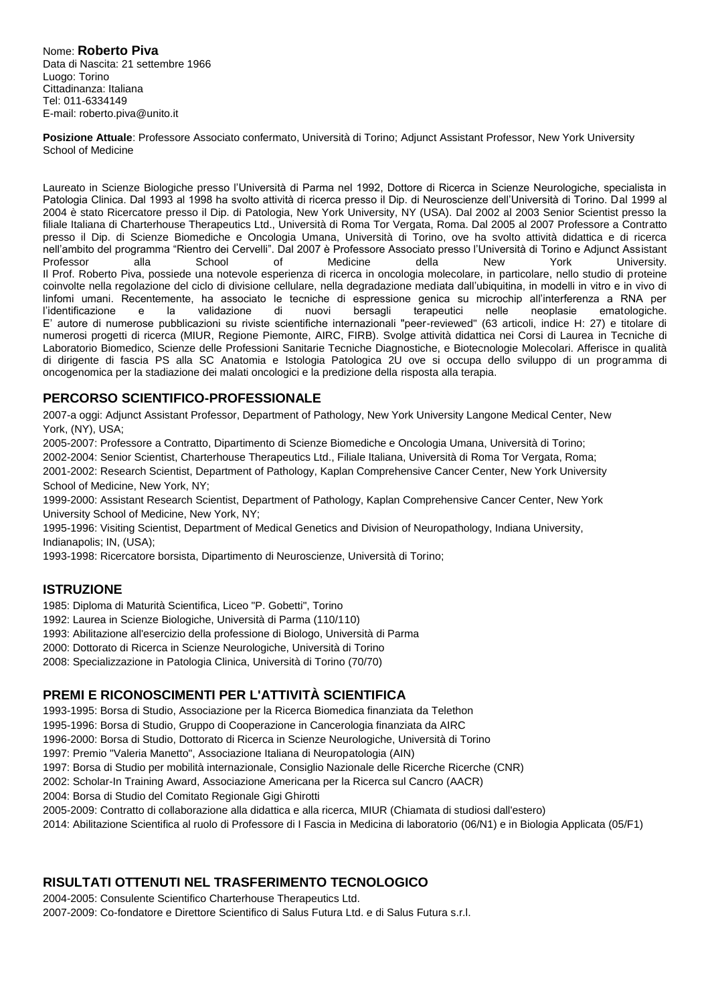#### Nome: **Roberto Piva** Data di Nascita: 21 settembre 1966 Luogo: Torino Cittadinanza: Italiana Tel: 011-6334149 E-mail: roberto.piva@unito.it

**Posizione Attuale**: Professore Associato confermato, Università di Torino; Adjunct Assistant Professor, New York University School of Medicine

Laureato in Scienze Biologiche presso l'Università di Parma nel 1992, Dottore di Ricerca in Scienze Neurologiche, specialista in Patologia Clinica. Dal 1993 al 1998 ha svolto attività di ricerca presso il Dip. di Neuroscienze dell'Università di Torino. Dal 1999 al 2004 è stato Ricercatore presso il Dip. di Patologia, New York University, NY (USA). Dal 2002 al 2003 Senior Scientist presso la filiale Italiana di Charterhouse Therapeutics Ltd., Università di Roma Tor Vergata, Roma. Dal 2005 al 2007 Professore a Contratto presso il Dip. di Scienze Biomediche e Oncologia Umana, Università di Torino, ove ha svolto attività didattica e di ricerca nell'ambito del programma "Rientro dei Cervelli". Dal 2007 è Professore Associato presso l'Università di Torino e Adjunct Assistant Professor alla School of Medicine della New York University. Il Prof. Roberto Piva, possiede una notevole esperienza di ricerca in oncologia molecolare, in particolare, nello studio di proteine coinvolte nella regolazione del ciclo di divisione cellulare, nella degradazione mediata dall'ubiquitina, in modelli in vitro e in vivo di linfomi umani. Recentemente, ha associato le tecniche di espressione genica su microchip all'interferenza a RNA per l'identificazione e la validazione di nuovi bersagli terapeutici nelle neoplasie ematologiche. E' autore di numerose pubblicazioni su riviste scientifiche internazionali "peer-reviewed" (63 articoli, indice H: 27) e titolare di numerosi progetti di ricerca (MIUR, Regione Piemonte, AIRC, FIRB). Svolge attività didattica nei Corsi di Laurea in Tecniche di Laboratorio Biomedico, Scienze delle Professioni Sanitarie Tecniche Diagnostiche, e Biotecnologie Molecolari. Afferisce in qualità di dirigente di fascia PS alla SC Anatomia e Istologia Patologica 2U ove si occupa dello sviluppo di un programma di oncogenomica per la stadiazione dei malati oncologici e la predizione della risposta alla terapia.

### **PERCORSO SCIENTIFICO-PROFESSIONALE**

2007-a oggi: Adjunct Assistant Professor, Department of Pathology, New York University Langone Medical Center, New York, (NY), USA;

2005-2007: Professore a Contratto, Dipartimento di Scienze Biomediche e Oncologia Umana, Università di Torino;

2002-2004: Senior Scientist, Charterhouse Therapeutics Ltd., Filiale Italiana, Università di Roma Tor Vergata, Roma;

2001-2002: Research Scientist, Department of Pathology, Kaplan Comprehensive Cancer Center, New York University School of Medicine, New York, NY;

1999-2000: Assistant Research Scientist, Department of Pathology, Kaplan Comprehensive Cancer Center, New York University School of Medicine, New York, NY;

1995-1996: Visiting Scientist, Department of Medical Genetics and Division of Neuropathology, Indiana University, Indianapolis; IN, (USA);

1993-1998: Ricercatore borsista, Dipartimento di Neuroscienze, Università di Torino;

### **ISTRUZIONE**

1985: Diploma di Maturità Scientifica, Liceo "P. Gobetti", Torino

1992: Laurea in Scienze Biologiche, Università di Parma (110/110)

1993: Abilitazione all'esercizio della professione di Biologo, Università di Parma

2000: Dottorato di Ricerca in Scienze Neurologiche, Università di Torino

2008: Specializzazione in Patologia Clinica, Università di Torino (70/70)

### **PREMI E RICONOSCIMENTI PER L'ATTIVITÀ SCIENTIFICA**

1993-1995: Borsa di Studio, Associazione per la Ricerca Biomedica finanziata da Telethon

1995-1996: Borsa di Studio, Gruppo di Cooperazione in Cancerologia finanziata da AIRC

1996-2000: Borsa di Studio, Dottorato di Ricerca in Scienze Neurologiche, Università di Torino

1997: Premio "Valeria Manetto", Associazione Italiana di Neuropatologia (AIN)

1997: Borsa di Studio per mobilità internazionale, Consiglio Nazionale delle Ricerche Ricerche (CNR)

2002: Scholar-In Training Award, Associazione Americana per la Ricerca sul Cancro (AACR)

2004: Borsa di Studio del Comitato Regionale Gigi Ghirotti

2005-2009: Contratto di collaborazione alla didattica e alla ricerca, MIUR (Chiamata di studiosi dall'estero)

2014: Abilitazione Scientifica al ruolo di Professore di I Fascia in Medicina di laboratorio (06/N1) e in Biologia Applicata (05/F1)

### **RISULTATI OTTENUTI NEL TRASFERIMENTO TECNOLOGICO**

2004-2005: Consulente Scientifico Charterhouse Therapeutics Ltd. 2007-2009: Co-fondatore e Direttore Scientifico di Salus Futura Ltd. e di Salus Futura s.r.l.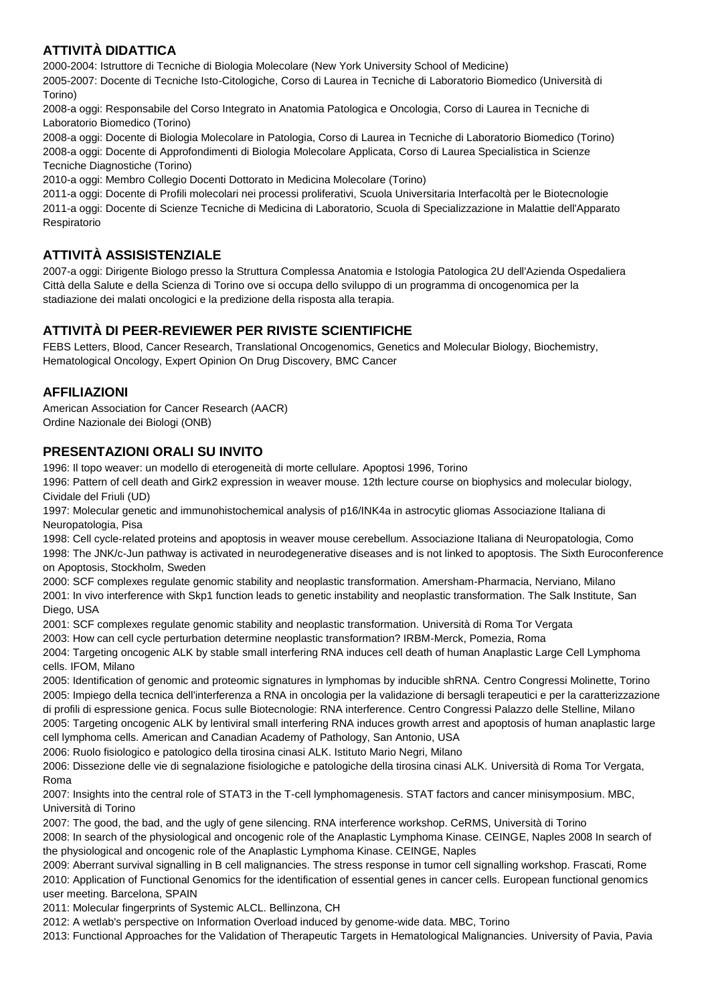# **ATTIVITÀ DIDATTICA**

2000-2004: Istruttore di Tecniche di Biologia Molecolare (New York University School of Medicine)

2005-2007: Docente di Tecniche Isto-Citologiche, Corso di Laurea in Tecniche di Laboratorio Biomedico (Università di Torino)

2008-a oggi: Responsabile del Corso Integrato in Anatomia Patologica e Oncologia, Corso di Laurea in Tecniche di Laboratorio Biomedico (Torino)

2008-a oggi: Docente di Biologia Molecolare in Patologia, Corso di Laurea in Tecniche di Laboratorio Biomedico (Torino) 2008-a oggi: Docente di Approfondimenti di Biologia Molecolare Applicata, Corso di Laurea Specialistica in Scienze Tecniche Diagnostiche (Torino)

2010-a oggi: Membro Collegio Docenti Dottorato in Medicina Molecolare (Torino)

2011-a oggi: Docente di Profili molecolari nei processi proliferativi, Scuola Universitaria Interfacoltà per le Biotecnologie 2011-a oggi: Docente di Scienze Tecniche di Medicina di Laboratorio, Scuola di Specializzazione in Malattie dell'Apparato Respiratorio

# **ATTIVITÀ ASSISISTENZIALE**

2007-a oggi: Dirigente Biologo presso la Struttura Complessa Anatomia e Istologia Patologica 2U dell'Azienda Ospedaliera Città della Salute e della Scienza di Torino ove si occupa dello sviluppo di un programma di oncogenomica per la stadiazione dei malati oncologici e la predizione della risposta alla terapia.

# **ATTIVITÀ DI PEER-REVIEWER PER RIVISTE SCIENTIFICHE**

FEBS Letters, Blood, Cancer Research, Translational Oncogenomics, Genetics and Molecular Biology, Biochemistry, Hematological Oncology, Expert Opinion On Drug Discovery, BMC Cancer

# **AFFILIAZIONI**

American Association for Cancer Research (AACR) Ordine Nazionale dei Biologi (ONB)

# **PRESENTAZIONI ORALI SU INVITO**

1996: Il topo weaver: un modello di eterogeneità di morte cellulare. Apoptosi 1996, Torino

1996: Pattern of cell death and Girk2 expression in weaver mouse. 12th lecture course on biophysics and molecular biology, Cividale del Friuli (UD)

1997: Molecular genetic and immunohistochemical analysis of p16/INK4a in astrocytic gliomas Associazione Italiana di Neuropatologia, Pisa

1998: Cell cycle-related proteins and apoptosis in weaver mouse cerebellum. Associazione Italiana di Neuropatologia, Como 1998: The JNK/c-Jun pathway is activated in neurodegenerative diseases and is not linked to apoptosis. The Sixth Euroconference on Apoptosis, Stockholm, Sweden

2000: SCF complexes regulate genomic stability and neoplastic transformation. Amersham-Pharmacia, Nerviano, Milano 2001: In vivo interference with Skp1 function leads to genetic instability and neoplastic transformation. The Salk Institute, San Diego, USA

2001: SCF complexes regulate genomic stability and neoplastic transformation. Università di Roma Tor Vergata

2003: How can cell cycle perturbation determine neoplastic transformation? IRBM-Merck, Pomezia, Roma

2004: Targeting oncogenic ALK by stable small interfering RNA induces cell death of human Anaplastic Large Cell Lymphoma cells. IFOM, Milano

2005: Identification of genomic and proteomic signatures in lymphomas by inducible shRNA. Centro Congressi Molinette, Torino 2005: Impiego della tecnica dell'interferenza a RNA in oncologia per la validazione di bersagli terapeutici e per la caratterizzazione di profili di espressione genica. Focus sulle Biotecnologie: RNA interference. Centro Congressi Palazzo delle Stelline, Milano 2005: Targeting oncogenic ALK by lentiviral small interfering RNA induces growth arrest and apoptosis of human anaplastic large cell lymphoma cells. American and Canadian Academy of Pathology, San Antonio, USA

2006: Ruolo fisiologico e patologico della tirosina cinasi ALK. Istituto Mario Negri, Milano

2006: Dissezione delle vie di segnalazione fisiologiche e patologiche della tirosina cinasi ALK. Università di Roma Tor Vergata, Roma

2007: Insights into the central role of STAT3 in the T-cell lymphomagenesis. STAT factors and cancer minisymposium. MBC, Università di Torino

2007: The good, the bad, and the ugly of gene silencing. RNA interference workshop. CeRMS, Università di Torino

2008: In search of the physiological and oncogenic role of the Anaplastic Lymphoma Kinase. CEINGE, Naples 2008 In search of the physiological and oncogenic role of the Anaplastic Lymphoma Kinase. CEINGE, Naples

2009: Aberrant survival signalling in B cell malignancies. The stress response in tumor cell signalling workshop. Frascati, Rome 2010: Application of Functional Genomics for the identification of essential genes in cancer cells. European functional genomics user meeting. Barcelona, SPAIN

2011: Molecular fingerprints of Systemic ALCL. Bellinzona, CH

2012: A wetlab's perspective on Information Overload induced by genome-wide data. MBC, Torino

2013: Functional Approaches for the Validation of Therapeutic Targets in Hematological Malignancies. University of Pavia, Pavia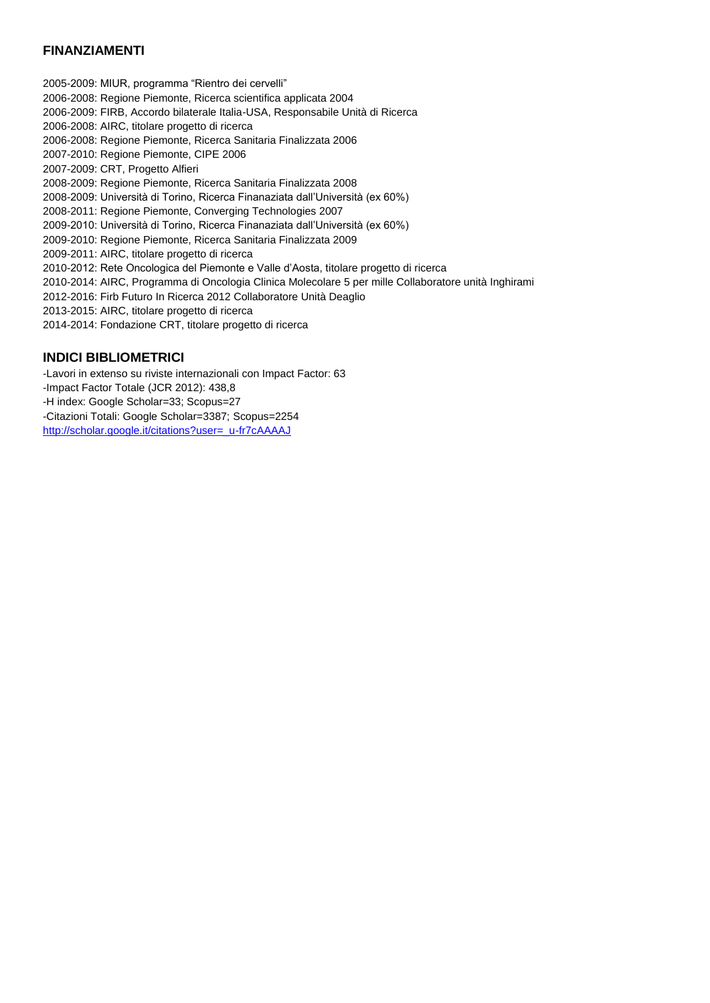### **FINANZIAMENTI**

2005-2009: MIUR, programma "Rientro dei cervelli" 2006-2008: Regione Piemonte, Ricerca scientifica applicata 2004 2006-2009: FIRB, Accordo bilaterale Italia-USA, Responsabile Unità di Ricerca 2006-2008: AIRC, titolare progetto di ricerca 2006-2008: Regione Piemonte, Ricerca Sanitaria Finalizzata 2006 2007-2010: Regione Piemonte, CIPE 2006 2007-2009: CRT, Progetto Alfieri 2008-2009: Regione Piemonte, Ricerca Sanitaria Finalizzata 2008 2008-2009: Università di Torino, Ricerca Finanaziata dall'Università (ex 60%) 2008-2011: Regione Piemonte, Converging Technologies 2007 2009-2010: Università di Torino, Ricerca Finanaziata dall'Università (ex 60%) 2009-2010: Regione Piemonte, Ricerca Sanitaria Finalizzata 2009 2009-2011: AIRC, titolare progetto di ricerca 2010-2012: Rete Oncologica del Piemonte e Valle d'Aosta, titolare progetto di ricerca 2010-2014: AIRC, Programma di Oncologia Clinica Molecolare 5 per mille Collaboratore unità Inghirami 2012-2016: Firb Futuro In Ricerca 2012 Collaboratore Unità Deaglio 2013-2015: AIRC, titolare progetto di ricerca 2014-2014: Fondazione CRT, titolare progetto di ricerca

### **INDICI BIBLIOMETRICI**

-Lavori in extenso su riviste internazionali con Impact Factor: 63 -Impact Factor Totale (JCR 2012): 438,8 -H index: Google Scholar=33; Scopus=27 -Citazioni Totali: Google Scholar=3387; Scopus=2254 [http://scholar.google.it/citations?user=\\_u-fr7cAAAAJ](http://scholar.google.it/citations?user=_u-fr7cAAAAJ)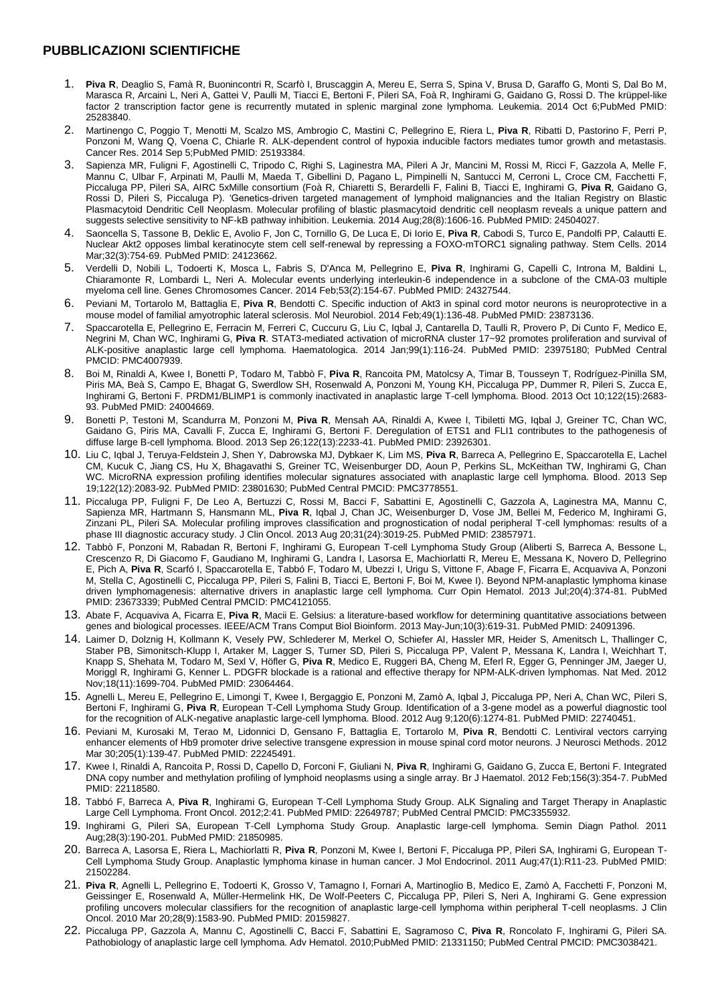### **PUBBLICAZIONI SCIENTIFICHE**

- 1. **Piva R**, Deaglio S, Famà R, Buonincontri R, Scarfò I, Bruscaggin A, Mereu E, Serra S, Spina V, Brusa D, Garaffo G, Monti S, Dal Bo M, Marasca R, Arcaini L, Neri A, Gattei V, Paulli M, Tiacci E, Bertoni F, Pileri SA, Foà R, Inghirami G, Gaidano G, Rossi D. The krüppel-like factor 2 transcription factor gene is recurrently mutated in splenic marginal zone lymphoma. Leukemia. 2014 Oct 6;PubMed PMID: 25283840.
- 2. Martinengo C, Poggio T, Menotti M, Scalzo MS, Ambrogio C, Mastini C, Pellegrino E, Riera L, **Piva R**, Ribatti D, Pastorino F, Perri P, Ponzoni M, Wang Q, Voena C, Chiarle R. ALK-dependent control of hypoxia inducible factors mediates tumor growth and metastasis. Cancer Res. 2014 Sep 5;PubMed PMID: 25193384.
- 3. Sapienza MR, Fuligni F, Agostinelli C, Tripodo C, Righi S, Laginestra MA, Pileri A Jr, Mancini M, Rossi M, Ricci F, Gazzola A, Melle F, Mannu C, Ulbar F, Arpinati M, Paulli M, Maeda T, Gibellini D, Pagano L, Pimpinelli N, Santucci M, Cerroni L, Croce CM, Facchetti F, Piccaluga PP, Pileri SA, AIRC 5xMille consortium (Foà R, Chiaretti S, Berardelli F, Falini B, Tiacci E, Inghirami G, **Piva R**, Gaidano G, Rossi D, Pileri S, Piccaluga P). 'Genetics-driven targeted management of lymphoid malignancies and the Italian Registry on Blastic Plasmacytoid Dendritic Cell Neoplasm. Molecular profiling of blastic plasmacytoid dendritic cell neoplasm reveals a unique pattern and suggests selective sensitivity to NF-kB pathway inhibition. Leukemia. 2014 Aug;28(8):1606-16. PubMed PMID: 24504027.
- 4. Saoncella S, Tassone B, Deklic E, Avolio F, Jon C, Tornillo G, De Luca E, Di Iorio E, **Piva R**, Cabodi S, Turco E, Pandolfi PP, Calautti E. Nuclear Akt2 opposes limbal keratinocyte stem cell self-renewal by repressing a FOXO-mTORC1 signaling pathway. Stem Cells. 2014 Mar;32(3):754-69. PubMed PMID: 24123662.
- 5. Verdelli D, Nobili L, Todoerti K, Mosca L, Fabris S, D'Anca M, Pellegrino E, **Piva R**, Inghirami G, Capelli C, Introna M, Baldini L, Chiaramonte R, Lombardi L, Neri A. Molecular events underlying interleukin-6 independence in a subclone of the CMA-03 multiple myeloma cell line. Genes Chromosomes Cancer. 2014 Feb;53(2):154-67. PubMed PMID: 24327544.
- 6. Peviani M, Tortarolo M, Battaglia E, **Piva R**, Bendotti C. Specific induction of Akt3 in spinal cord motor neurons is neuroprotective in a mouse model of familial amyotrophic lateral sclerosis. Mol Neurobiol. 2014 Feb;49(1):136-48. PubMed PMID: 23873136.
- 7. Spaccarotella E, Pellegrino E, Ferracin M, Ferreri C, Cuccuru G, Liu C, Iqbal J, Cantarella D, Taulli R, Provero P, Di Cunto F, Medico E, Negrini M, Chan WC, Inghirami G, **Piva R**. STAT3-mediated activation of microRNA cluster 17~92 promotes proliferation and survival of ALK-positive anaplastic large cell lymphoma. Haematologica. 2014 Jan;99(1):116-24. PubMed PMID: 23975180; PubMed Central PMCID: PMC4007939.
- 8. Boi M, Rinaldi A, Kwee I, Bonetti P, Todaro M, Tabbò F, **Piva R**, Rancoita PM, Matolcsy A, Timar B, Tousseyn T, Rodríguez-Pinilla SM, Piris MA, Beà S, Campo E, Bhagat G, Swerdlow SH, Rosenwald A, Ponzoni M, Young KH, Piccaluga PP, Dummer R, Pileri S, Zucca E, Inghirami G, Bertoni F. PRDM1/BLIMP1 is commonly inactivated in anaplastic large T-cell lymphoma. Blood. 2013 Oct 10;122(15):2683- 93. PubMed PMID: 24004669.
- 9. Bonetti P, Testoni M, Scandurra M, Ponzoni M, **Piva R**, Mensah AA, Rinaldi A, Kwee I, Tibiletti MG, Iqbal J, Greiner TC, Chan WC, Gaidano G, Piris MA, Cavalli F, Zucca E, Inghirami G, Bertoni F. Deregulation of ETS1 and FLI1 contributes to the pathogenesis of diffuse large B-cell lymphoma. Blood. 2013 Sep 26;122(13):2233-41. PubMed PMID: 23926301.
- 10. Liu C, Iqbal J, Teruya-Feldstein J, Shen Y, Dabrowska MJ, Dybkaer K, Lim MS, **Piva R**, Barreca A, Pellegrino E, Spaccarotella E, Lachel CM, Kucuk C, Jiang CS, Hu X, Bhagavathi S, Greiner TC, Weisenburger DD, Aoun P, Perkins SL, McKeithan TW, Inghirami G, Chan WC. MicroRNA expression profiling identifies molecular signatures associated with anaplastic large cell lymphoma. Blood. 2013 Sep 19;122(12):2083-92. PubMed PMID: 23801630; PubMed Central PMCID: PMC3778551.
- 11. Piccaluga PP, Fuligni F, De Leo A, Bertuzzi C, Rossi M, Bacci F, Sabattini E, Agostinelli C, Gazzola A, Laginestra MA, Mannu C, Sapienza MR, Hartmann S, Hansmann ML, **Piva R**, Iqbal J, Chan JC, Weisenburger D, Vose JM, Bellei M, Federico M, Inghirami G, Zinzani PL, Pileri SA. Molecular profiling improves classification and prognostication of nodal peripheral T-cell lymphomas: results of a phase III diagnostic accuracy study. J Clin Oncol. 2013 Aug 20;31(24):3019-25. PubMed PMID: 23857971.
- 12. Tabbò F, Ponzoni M, Rabadan R, Bertoni F, Inghirami G, European T-cell Lymphoma Study Group (Aliberti S, Barreca A, Bessone L, Crescenzo R, Di Giacomo F, Gaudiano M, Inghirami G, Landra I, Lasorsa E, Machiorlatti R, Mereu E, Messana K, Novero D, Pellegrino E, Pich A, **Piva R**, Scarfó I, Spaccarotella E, Tabbó F, Todaro M, Ubezzi I, Urigu S, Vittone F, Abage F, Ficarra E, Acquaviva A, Ponzoni M, Stella C, Agostinelli C, Piccaluga PP, Pileri S, Falini B, Tiacci E, Bertoni F, Boi M, Kwee I). Beyond NPM-anaplastic lymphoma kinase driven lymphomagenesis: alternative drivers in anaplastic large cell lymphoma. Curr Opin Hematol. 2013 Jul;20(4):374-81. PubMed PMID: 23673339; PubMed Central PMCID: PMC4121055.
- 13. Abate F, Acquaviva A, Ficarra E, **Piva R**, Macii E. Gelsius: a literature-based workflow for determining quantitative associations between genes and biological processes. IEEE/ACM Trans Comput Biol Bioinform. 2013 May-Jun;10(3):619-31. PubMed PMID: 24091396.
- 14. Laimer D, Dolznig H, Kollmann K, Vesely PW, Schlederer M, Merkel O, Schiefer AI, Hassler MR, Heider S, Amenitsch L, Thallinger C, Staber PB, Simonitsch-Klupp I, Artaker M, Lagger S, Turner SD, Pileri S, Piccaluga PP, Valent P, Messana K, Landra I, Weichhart T, Knapp S, Shehata M, Todaro M, Sexl V, Höfler G, **Piva R**, Medico E, Ruggeri BA, Cheng M, Eferl R, Egger G, Penninger JM, Jaeger U, Moriggl R, Inghirami G, Kenner L. PDGFR blockade is a rational and effective therapy for NPM-ALK-driven lymphomas. Nat Med. 2012 Nov;18(11):1699-704. PubMed PMID: 23064464.
- 15. Agnelli L, Mereu E, Pellegrino E, Limongi T, Kwee I, Bergaggio E, Ponzoni M, Zamò A, Iqbal J, Piccaluga PP, Neri A, Chan WC, Pileri S, Bertoni F, Inghirami G, **Piva R**, European T-Cell Lymphoma Study Group. Identification of a 3-gene model as a powerful diagnostic tool for the recognition of ALK-negative anaplastic large-cell lymphoma. Blood. 2012 Aug 9;120(6):1274-81. PubMed PMID: 22740451.
- 16. Peviani M, Kurosaki M, Terao M, Lidonnici D, Gensano F, Battaglia E, Tortarolo M, **Piva R**, Bendotti C. Lentiviral vectors carrying enhancer elements of Hb9 promoter drive selective transgene expression in mouse spinal cord motor neurons. J Neurosci Methods. 2012 Mar 30;205(1):139-47. PubMed PMID: 22245491.
- 17. Kwee I, Rinaldi A, Rancoita P, Rossi D, Capello D, Forconi F, Giuliani N, **Piva R**, Inghirami G, Gaidano G, Zucca E, Bertoni F. Integrated DNA copy number and methylation profiling of lymphoid neoplasms using a single array. Br J Haematol. 2012 Feb;156(3):354-7. PubMed PMID: 22118580.
- 18. Tabbó F, Barreca A, **Piva R**, Inghirami G, European T-Cell Lymphoma Study Group. ALK Signaling and Target Therapy in Anaplastic Large Cell Lymphoma. Front Oncol. 2012;2:41. PubMed PMID: 22649787; PubMed Central PMCID: PMC3355932.
- 19. Inghirami G, Pileri SA, European T-Cell Lymphoma Study Group. Anaplastic large-cell lymphoma. Semin Diagn Pathol. 2011 Aug;28(3):190-201. PubMed PMID: 21850985.
- 20. Barreca A, Lasorsa E, Riera L, Machiorlatti R, **Piva R**, Ponzoni M, Kwee I, Bertoni F, Piccaluga PP, Pileri SA, Inghirami G, European T-Cell Lymphoma Study Group. Anaplastic lymphoma kinase in human cancer. J Mol Endocrinol. 2011 Aug;47(1):R11-23. PubMed PMID: 21502284.
- 21. **Piva R**, Agnelli L, Pellegrino E, Todoerti K, Grosso V, Tamagno I, Fornari A, Martinoglio B, Medico E, Zamò A, Facchetti F, Ponzoni M, Geissinger E, Rosenwald A, Müller-Hermelink HK, De Wolf-Peeters C, Piccaluga PP, Pileri S, Neri A, Inghirami G. Gene expression profiling uncovers molecular classifiers for the recognition of anaplastic large-cell lymphoma within peripheral T-cell neoplasms. J Clin Oncol. 2010 Mar 20;28(9):1583-90. PubMed PMID: 20159827.
- 22. Piccaluga PP, Gazzola A, Mannu C, Agostinelli C, Bacci F, Sabattini E, Sagramoso C, **Piva R**, Roncolato F, Inghirami G, Pileri SA. Pathobiology of anaplastic large cell lymphoma. Adv Hematol. 2010;PubMed PMID: 21331150; PubMed Central PMCID: PMC3038421.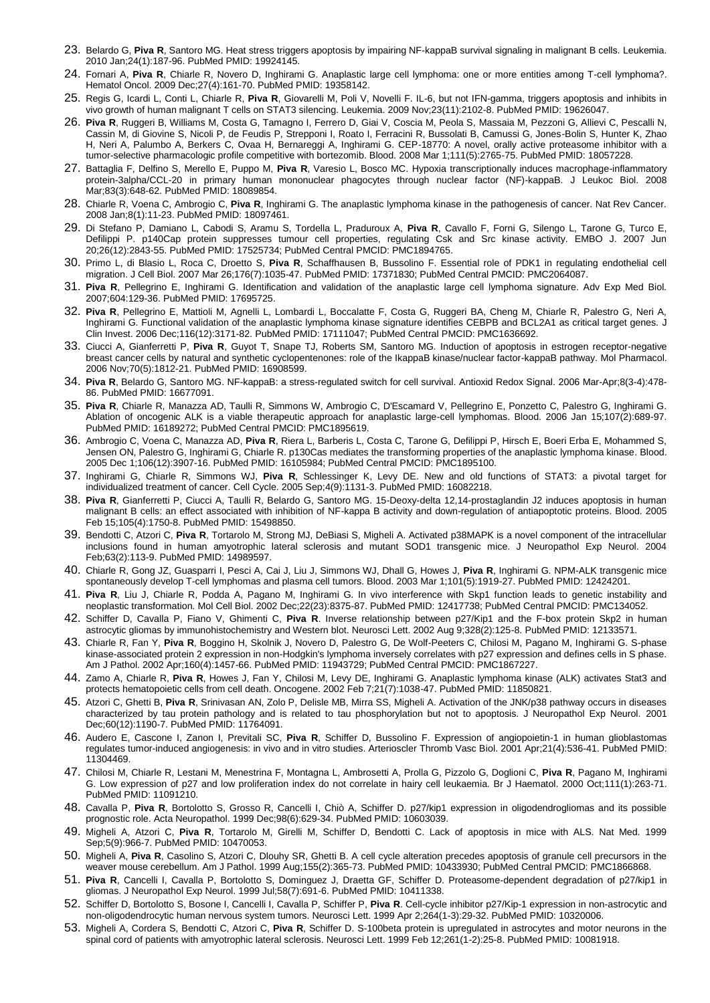- 23. Belardo G, **Piva R**, Santoro MG. Heat stress triggers apoptosis by impairing NF-kappaB survival signaling in malignant B cells. Leukemia. 2010 Jan;24(1):187-96. PubMed PMID: 19924145.
- 24. Fornari A, **Piva R**, Chiarle R, Novero D, Inghirami G. Anaplastic large cell lymphoma: one or more entities among T-cell lymphoma?. Hematol Oncol. 2009 Dec;27(4):161-70. PubMed PMID: 19358142.
- 25. Regis G, Icardi L, Conti L, Chiarle R, **Piva R**, Giovarelli M, Poli V, Novelli F. IL-6, but not IFN-gamma, triggers apoptosis and inhibits in vivo growth of human malignant T cells on STAT3 silencing. Leukemia. 2009 Nov;23(11):2102-8. PubMed PMID: 19626047.
- 26. **Piva R**, Ruggeri B, Williams M, Costa G, Tamagno I, Ferrero D, Giai V, Coscia M, Peola S, Massaia M, Pezzoni G, Allievi C, Pescalli N, Cassin M, di Giovine S, Nicoli P, de Feudis P, Strepponi I, Roato I, Ferracini R, Bussolati B, Camussi G, Jones-Bolin S, Hunter K, Zhao H, Neri A, Palumbo A, Berkers C, Ovaa H, Bernareggi A, Inghirami G. CEP-18770: A novel, orally active proteasome inhibitor with a tumor-selective pharmacologic profile competitive with bortezomib. Blood. 2008 Mar 1;111(5):2765-75. PubMed PMID: 18057228.
- 27. Battaglia F, Delfino S, Merello E, Puppo M, **Piva R**, Varesio L, Bosco MC. Hypoxia transcriptionally induces macrophage-inflammatory protein-3alpha/CCL-20 in primary human mononuclear phagocytes through nuclear factor (NF)-kappaB. J Leukoc Biol. 2008 Mar;83(3):648-62. PubMed PMID: 18089854.
- 28. Chiarle R, Voena C, Ambrogio C, **Piva R**, Inghirami G. The anaplastic lymphoma kinase in the pathogenesis of cancer. Nat Rev Cancer. 2008 Jan;8(1):11-23. PubMed PMID: 18097461.
- 29. Di Stefano P, Damiano L, Cabodi S, Aramu S, Tordella L, Praduroux A, **Piva R**, Cavallo F, Forni G, Silengo L, Tarone G, Turco E, Defilippi P. p140Cap protein suppresses tumour cell properties, regulating Csk and Src kinase activity. EMBO J. 2007 Jun 20;26(12):2843-55. PubMed PMID: 17525734; PubMed Central PMCID: PMC1894765.
- 30. Primo L, di Blasio L, Roca C, Droetto S, **Piva R**, Schaffhausen B, Bussolino F. Essential role of PDK1 in regulating endothelial cell migration. J Cell Biol. 2007 Mar 26;176(7):1035-47. PubMed PMID: 17371830; PubMed Central PMCID: PMC2064087.
- 31. **Piva R**, Pellegrino E, Inghirami G. Identification and validation of the anaplastic large cell lymphoma signature. Adv Exp Med Biol. 2007;604:129-36. PubMed PMID: 17695725.
- 32. **Piva R**, Pellegrino E, Mattioli M, Agnelli L, Lombardi L, Boccalatte F, Costa G, Ruggeri BA, Cheng M, Chiarle R, Palestro G, Neri A, Inghirami G. Functional validation of the anaplastic lymphoma kinase signature identifies CEBPB and BCL2A1 as critical target genes. J Clin Invest. 2006 Dec;116(12):3171-82. PubMed PMID: 17111047; PubMed Central PMCID: PMC1636692.
- 33. Ciucci A, Gianferretti P, **Piva R**, Guyot T, Snape TJ, Roberts SM, Santoro MG. Induction of apoptosis in estrogen receptor-negative breast cancer cells by natural and synthetic cyclopentenones: role of the IkappaB kinase/nuclear factor-kappaB pathway. Mol Pharmacol. 2006 Nov;70(5):1812-21. PubMed PMID: 16908599.
- 34. **Piva R**, Belardo G, Santoro MG. NF-kappaB: a stress-regulated switch for cell survival. Antioxid Redox Signal. 2006 Mar-Apr;8(3-4):478- 86. PubMed PMID: 16677091.
- 35. **Piva R**, Chiarle R, Manazza AD, Taulli R, Simmons W, Ambrogio C, D'Escamard V, Pellegrino E, Ponzetto C, Palestro G, Inghirami G. Ablation of oncogenic ALK is a viable therapeutic approach for anaplastic large-cell lymphomas. Blood. 2006 Jan 15;107(2):689-97. PubMed PMID: 16189272; PubMed Central PMCID: PMC1895619.
- 36. Ambrogio C, Voena C, Manazza AD, **Piva R**, Riera L, Barberis L, Costa C, Tarone G, Defilippi P, Hirsch E, Boeri Erba E, Mohammed S, Jensen ON, Palestro G, Inghirami G, Chiarle R. p130Cas mediates the transforming properties of the anaplastic lymphoma kinase. Blood. 2005 Dec 1;106(12):3907-16. PubMed PMID: 16105984; PubMed Central PMCID: PMC1895100.
- 37. Inghirami G, Chiarle R, Simmons WJ, **Piva R**, Schlessinger K, Levy DE. New and old functions of STAT3: a pivotal target for individualized treatment of cancer. Cell Cycle. 2005 Sep;4(9):1131-3. PubMed PMID: 16082218.
- 38. **Piva R**, Gianferretti P, Ciucci A, Taulli R, Belardo G, Santoro MG. 15-Deoxy-delta 12,14-prostaglandin J2 induces apoptosis in human malignant B cells: an effect associated with inhibition of NF-kappa B activity and down-regulation of antiapoptotic proteins. Blood. 2005 Feb 15;105(4):1750-8. PubMed PMID: 15498850.
- 39. Bendotti C, Atzori C, **Piva R**, Tortarolo M, Strong MJ, DeBiasi S, Migheli A. Activated p38MAPK is a novel component of the intracellular inclusions found in human amyotrophic lateral sclerosis and mutant SOD1 transgenic mice. J Neuropathol Exp Neurol. 2004 Feb;63(2):113-9. PubMed PMID: 14989597.
- 40. Chiarle R, Gong JZ, Guasparri I, Pesci A, Cai J, Liu J, Simmons WJ, Dhall G, Howes J, **Piva R**, Inghirami G. NPM-ALK transgenic mice spontaneously develop T-cell lymphomas and plasma cell tumors. Blood. 2003 Mar 1;101(5):1919-27. PubMed PMID: 12424201.
- 41. **Piva R**, Liu J, Chiarle R, Podda A, Pagano M, Inghirami G. In vivo interference with Skp1 function leads to genetic instability and neoplastic transformation. Mol Cell Biol. 2002 Dec;22(23):8375-87. PubMed PMID: 12417738; PubMed Central PMCID: PMC134052.
- 42. Schiffer D, Cavalla P, Fiano V, Ghimenti C, **Piva R**. Inverse relationship between p27/Kip1 and the F-box protein Skp2 in human astrocytic gliomas by immunohistochemistry and Western blot. Neurosci Lett. 2002 Aug 9;328(2):125-8. PubMed PMID: 12133571.
- 43. Chiarle R, Fan Y, **Piva R**, Boggino H, Skolnik J, Novero D, Palestro G, De Wolf-Peeters C, Chilosi M, Pagano M, Inghirami G. S-phase kinase-associated protein 2 expression in non-Hodgkin's lymphoma inversely correlates with p27 expression and defines cells in S phase. Am J Pathol. 2002 Apr;160(4):1457-66. PubMed PMID: 11943729; PubMed Central PMCID: PMC1867227.
- 44. Zamo A, Chiarle R, **Piva R**, Howes J, Fan Y, Chilosi M, Levy DE, Inghirami G. Anaplastic lymphoma kinase (ALK) activates Stat3 and protects hematopoietic cells from cell death. Oncogene. 2002 Feb 7;21(7):1038-47. PubMed PMID: 11850821.
- 45. Atzori C, Ghetti B, **Piva R**, Srinivasan AN, Zolo P, Delisle MB, Mirra SS, Migheli A. Activation of the JNK/p38 pathway occurs in diseases characterized by tau protein pathology and is related to tau phosphorylation but not to apoptosis. J Neuropathol Exp Neurol. 2001 Dec;60(12):1190-7. PubMed PMID: 11764091.
- 46. Audero E, Cascone I, Zanon I, Previtali SC, **Piva R**, Schiffer D, Bussolino F. Expression of angiopoietin-1 in human glioblastomas regulates tumor-induced angiogenesis: in vivo and in vitro studies. Arterioscler Thromb Vasc Biol. 2001 Apr;21(4):536-41. PubMed PMID: 11304469.
- 47. Chilosi M, Chiarle R, Lestani M, Menestrina F, Montagna L, Ambrosetti A, Prolla G, Pizzolo G, Doglioni C, **Piva R**, Pagano M, Inghirami G. Low expression of p27 and low proliferation index do not correlate in hairy cell leukaemia. Br J Haematol. 2000 Oct;111(1):263-71. PubMed PMID: 11091210.
- 48. Cavalla P, **Piva R**, Bortolotto S, Grosso R, Cancelli I, Chiò A, Schiffer D. p27/kip1 expression in oligodendrogliomas and its possible prognostic role. Acta Neuropathol. 1999 Dec;98(6):629-34. PubMed PMID: 10603039.
- 49. Migheli A, Atzori C, **Piva R**, Tortarolo M, Girelli M, Schiffer D, Bendotti C. Lack of apoptosis in mice with ALS. Nat Med. 1999 Sep;5(9):966-7. PubMed PMID: 10470053.
- 50. Migheli A, **Piva R**, Casolino S, Atzori C, Dlouhy SR, Ghetti B. A cell cycle alteration precedes apoptosis of granule cell precursors in the weaver mouse cerebellum. Am J Pathol. 1999 Aug;155(2):365-73. PubMed PMID: 10433930; PubMed Central PMCID: PMC1866868.
- 51. **Piva R**, Cancelli I, Cavalla P, Bortolotto S, Dominguez J, Draetta GF, Schiffer D. Proteasome-dependent degradation of p27/kip1 in gliomas. J Neuropathol Exp Neurol. 1999 Jul;58(7):691-6. PubMed PMID: 10411338.
- 52. Schiffer D, Bortolotto S, Bosone I, Cancelli I, Cavalla P, Schiffer P, **Piva R**. Cell-cycle inhibitor p27/Kip-1 expression in non-astrocytic and non-oligodendrocytic human nervous system tumors. Neurosci Lett. 1999 Apr 2;264(1-3):29-32. PubMed PMID: 10320006.
- 53. Migheli A, Cordera S, Bendotti C, Atzori C, **Piva R**, Schiffer D. S-100beta protein is upregulated in astrocytes and motor neurons in the spinal cord of patients with amyotrophic lateral sclerosis. Neurosci Lett. 1999 Feb 12;261(1-2):25-8. PubMed PMID: 10081918.